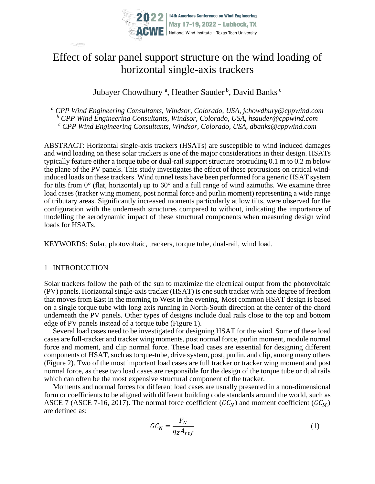

# Effect of solar panel support structure on the wind loading of horizontal single-axis trackers

Jubayer Chowdhury<sup>a</sup>, Heather Sauder<sup>b</sup>, David Banks<sup>c</sup>

*<sup>a</sup> CPP Wind Engineering Consultants, Windsor, Colorado, USA, jchowdhury@cppwind.com <sup>b</sup> CPP Wind Engineering Consultants, Windsor, Colorado, USA, hsauder@cppwind.com <sup>c</sup> CPP Wind Engineering Consultants, Windsor, Colorado, USA, dbanks@cppwind.com*

ABSTRACT: Horizontal single-axis trackers (HSATs) are susceptible to wind induced damages and wind loading on these solar trackers is one of the major considerations in their design. HSATs typically feature either a torque tube or dual-rail support structure protruding 0.1 m to 0.2 m below the plane of the PV panels. This study investigates the effect of these protrusions on critical windinduced loads on these trackers. Wind tunnel tests have been performed for a generic HSAT system for tilts from  $0^{\circ}$  (flat, horizontal) up to  $60^{\circ}$  and a full range of wind azimuths. We examine three load cases (tracker wing moment, post normal force and purlin moment) representing a wide range of tributary areas. Significantly increased moments particularly at low tilts, were observed for the configuration with the underneath structures compared to without, indicating the importance of modelling the aerodynamic impact of these structural components when measuring design wind loads for HSATs.

KEYWORDS: Solar, photovoltaic, trackers, torque tube, dual-rail, wind load.

### 1 INTRODUCTION

Solar trackers follow the path of the sun to maximize the electrical output from the photovoltaic (PV) panels. Horizontal single-axis tracker (HSAT) is one such tracker with one degree of freedom that moves from East in the morning to West in the evening. Most common HSAT design is based on a single torque tube with long axis running in North-South direction at the center of the chord underneath the PV panels. Other types of designs include dual rails close to the top and bottom edge of PV panels instead of a torque tube [\(Figure 1\)](#page-1-0).

Several load cases need to be investigated for designing HSAT for the wind. Some of these load cases are full-tracker and tracker wing moments, post normal force, purlin moment, module normal force and moment, and clip normal force. These load cases are essential for designing different components of HSAT, such as torque-tube, drive system, post, purlin, and clip, among many others [\(Figure 2\)](#page-1-1). Two of the most important load cases are full tracker or tracker wing moment and post normal force, as these two load cases are responsible for the design of the torque tube or dual rails which can often be the most expensive structural component of the tracker.

Moments and normal forces for different load cases are usually presented in a non-dimensional form or coefficients to be aligned with different building code standards around the world, such as ASCE 7 (ASCE 7-16, 2017). The normal force coefficient ( $GC_N$ ) and moment coefficient ( $GC_M$ ) are defined as:

$$
GC_N = \frac{F_N}{q_Z A_{ref}}\tag{1}
$$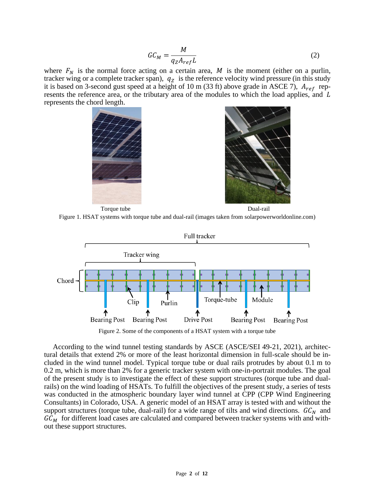$$
GC_M = \frac{M}{q_Z A_{ref} L} \tag{2}
$$

where  $F_N$  is the normal force acting on a certain area, M is the moment (either on a purlin, tracker wing or a complete tracker span),  $q_z$  is the reference velocity wind pressure (in this study it is based on 3-second gust speed at a height of 10 m (33 ft) above grade in ASCE 7),  $A_{ref}$  represents the reference area, or the tributary area of the modules to which the load applies, and L represents the chord length.



Torque tube Dual-rail

<span id="page-1-0"></span>



Figure 2. Some of the components of a HSAT system with a torque tube

<span id="page-1-1"></span>According to the wind tunnel testing standards by ASCE (ASCE/SEI 49-21, 2021), architectural details that extend 2% or more of the least horizontal dimension in full-scale should be included in the wind tunnel model. Typical torque tube or dual rails protrudes by about 0.1 m to 0.2 m, which is more than 2% for a generic tracker system with one-in-portrait modules. The goal of the present study is to investigate the effect of these support structures (torque tube and dualrails) on the wind loading of HSATs. To fulfill the objectives of the present study, a series of tests was conducted in the atmospheric boundary layer wind tunnel at CPP (CPP Wind Engineering Consultants) in Colorado, USA. A generic model of an HSAT array is tested with and without the support structures (torque tube, dual-rail) for a wide range of tilts and wind directions.  $GC_N$  and  $GC_M$  for different load cases are calculated and compared between tracker systems with and without these support structures.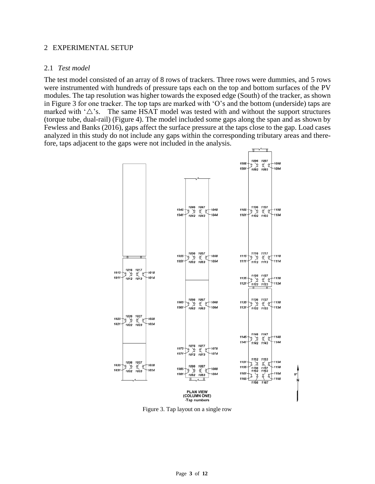#### 2 EXPERIMENTAL SETUP

#### 2.1 *Test model*

The test model consisted of an array of 8 rows of trackers. Three rows were dummies, and 5 rows were instrumented with hundreds of pressure taps each on the top and bottom surfaces of the PV modules. The tap resolution was higher towards the exposed edge (South) of the tracker, as shown in [Figure 3](#page-2-0) for one tracker. The top taps are marked with 'O's and the bottom (underside) taps are marked with  $\Delta$ 's. The same HSAT model was tested with and without the support structures (torque tube, dual-rail) [\(Figure 4\)](#page-3-0). The model included some gaps along the span and as shown by Fewless and Banks (2016), gaps affect the surface pressure at the taps close to the gap. Load cases analyzed in this study do not include any gaps within the corresponding tributary areas and therefore, taps adjacent to the gaps were not included in the analysis.



<span id="page-2-0"></span>Figure 3. Tap layout on a single row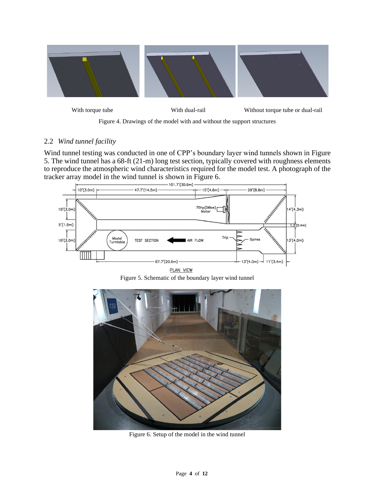

With torque tube **With dual-rail** Without torque tube or dual-rail

Figure 4. Drawings of the model with and without the support structures

## <span id="page-3-0"></span>2.2 *Wind tunnel facility*

Wind tunnel testing was conducted in one of CPP's boundary layer wind tunnels shown in [Figure](#page-3-1)  [5.](#page-3-1) The wind tunnel has a 68-ft (21-m) long test section, typically covered with roughness elements to reproduce the atmospheric wind characteristics required for the model test. A photograph of the tracker array model in the wind tunnel is shown in [Figure 6.](#page-3-2)



Figure 5. Schematic of the boundary layer wind tunnel

<span id="page-3-2"></span><span id="page-3-1"></span>

Figure 6. Setup of the model in the wind tunnel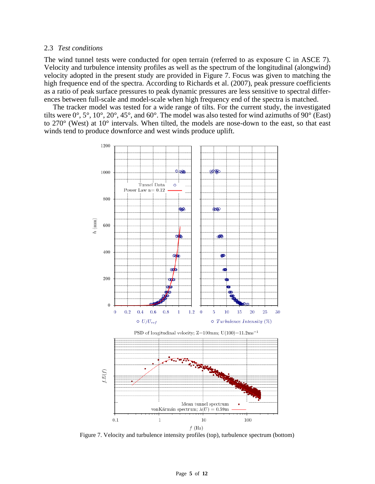#### 2.3 *Test conditions*

The wind tunnel tests were conducted for open terrain (referred to as exposure C in ASCE 7). Velocity and turbulence intensity profiles as well as the spectrum of the longitudinal (alongwind) velocity adopted in the present study are provided in [Figure 7.](#page-4-0) Focus was given to matching the high frequence end of the spectra. According to Richards et al. (2007), peak pressure coefficients as a ratio of peak surface pressures to peak dynamic pressures are less sensitive to spectral differences between full-scale and model-scale when high frequency end of the spectra is matched.

The tracker model was tested for a wide range of tilts. For the current study, the investigated tilts were 0°, 5°, 10°, 20°, 45°, and 60°. The model was also tested for wind azimuths of 90° (East) to 270° (West) at 10° intervals. When tilted, the models are nose-down to the east, so that east winds tend to produce downforce and west winds produce uplift.



<span id="page-4-0"></span>Figure 7. Velocity and turbulence intensity profiles (top), turbulence spectrum (bottom)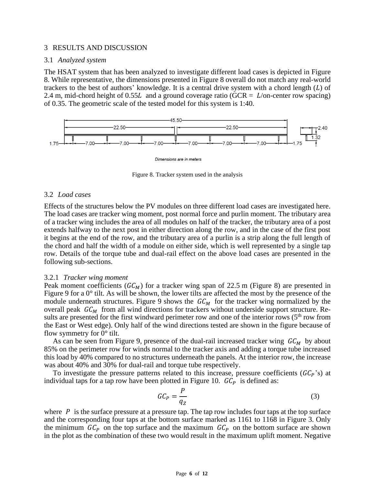#### 3 RESULTS AND DISCUSSION

#### 3.1 *Analyzed system*

The HSAT system that has been analyzed to investigate different load cases is depicted in [Figure](#page-5-0)  [8.](#page-5-0) While representative, the dimensions presented in [Figure 8](#page-5-0) overall do not match any real-world trackers to the best of authors' knowledge. It is a central drive system with a chord length  $(L)$  of 2.4 m, mid-chord height of 0.55L and a ground coverage ratio (GCR =  $L$ /on-center row spacing) of 0.35. The geometric scale of the tested model for this system is 1:40.



Dimensions are in meters

Figure 8. Tracker system used in the analysis

#### <span id="page-5-0"></span>3.2 *Load cases*

Effects of the structures below the PV modules on three different load cases are investigated here. The load cases are tracker wing moment, post normal force and purlin moment. The tributary area of a tracker wing includes the area of all modules on half of the tracker, the tributary area of a post extends halfway to the next post in either direction along the row, and in the case of the first post it begins at the end of the row, and the tributary area of a purlin is a strip along the full length of the chord and half the width of a module on either side, which is well represented by a single tap row. Details of the torque tube and dual-rail effect on the above load cases are presented in the following sub-sections.

#### <span id="page-5-1"></span>3.2.1 *Tracker wing moment*

Peak moment coefficients  $(GC_M)$  for a tracker wing span of 22.5 m [\(Figure 8\)](#page-5-0) are presented in [Figure 9](#page-6-0) for a 0° tilt. As will be shown, the lower tilts are affected the most by the presence of the module underneath structures. [Figure 9](#page-6-0) shows the  $GC_M$  for the tracker wing normalized by the overall peak  $GC_M$  from all wind directions for trackers without underside support structure. Results are presented for the first windward perimeter row and one of the interior rows (5<sup>th</sup> row from the East or West edge). Only half of the wind directions tested are shown in the figure because of flow symmetry for  $0^\circ$  tilt.

As can be seen from [Figure 9,](#page-6-0) presence of the dual-rail increased tracker wing  $GC_M$  by about 85% on the perimeter row for winds normal to the tracker axis and adding a torque tube increased this load by 40% compared to no structures underneath the panels. At the interior row, the increase was about 40% and 30% for dual-rail and torque tube respectively.

To investigate the pressure patterns related to this increase, pressure coefficients  $(GC_P)$ 's) at individual taps for a tap row have been plotted in [Figure 10.](#page-7-0)  $GC<sub>p</sub>$  is defined as:

$$
GC_P = \frac{P}{q_Z} \tag{3}
$$

where  $P$  is the surface pressure at a pressure tap. The tap row includes four taps at the top surface and the corresponding four taps at the bottom surface marked as 1161 to 1168 in [Figure 3.](#page-2-0) Only the minimum  $GC_P$  on the top surface and the maximum  $GC_P$  on the bottom surface are shown in the plot as the combination of these two would result in the maximum uplift moment. Negative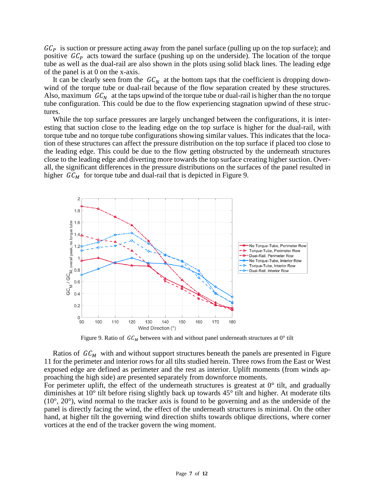$GC<sub>P</sub>$  is suction or pressure acting away from the panel surface (pulling up on the top surface); and positive  $GC<sub>p</sub>$  acts toward the surface (pushing up on the underside). The location of the torque tube as well as the dual-rail are also shown in the plots using solid black lines. The leading edge of the panel is at 0 on the x-axis.

It can be clearly seen from the  $GC_N$  at the bottom taps that the coefficient is dropping downwind of the torque tube or dual-rail because of the flow separation created by these structures. Also, maximum  $GC_N$  at the taps upwind of the torque tube or dual-rail is higher than the no torque tube configuration. This could be due to the flow experiencing stagnation upwind of these structures.

While the top surface pressures are largely unchanged between the configurations, it is interesting that suction close to the leading edge on the top surface is higher for the dual-rail, with torque tube and no torque tube configurations showing similar values. This indicates that the location of these structures can affect the pressure distribution on the top surface if placed too close to the leading edge. This could be due to the flow getting obstructed by the underneath structures close to the leading edge and diverting more towards the top surface creating higher suction. Overall, the significant differences in the pressure distributions on the surfaces of the panel resulted in higher  $GC_M$  for torque tube and dual-rail that is depicted in [Figure 9.](#page-6-0)



Figure 9. Ratio of  $GC_M$  between with and without panel underneath structures at 0° tilt

<span id="page-6-0"></span>Ratios of  $GC_M$  with and without support structures beneath the panels are presented in Figure [11](#page-8-0) for the perimeter and interior rows for all tilts studied herein. Three rows from the East or West exposed edge are defined as perimeter and the rest as interior. Uplift moments (from winds approaching the high side) are presented separately from downforce moments.

For perimeter uplift, the effect of the underneath structures is greatest at  $0^{\circ}$  tilt, and gradually diminishes at 10° tilt before rising slightly back up towards 45° tilt and higher. At moderate tilts  $(10^{\circ}, 20^{\circ})$ , wind normal to the tracker axis is found to be governing and as the underside of the panel is directly facing the wind, the effect of the underneath structures is minimal. On the other hand, at higher tilt the governing wind direction shifts towards oblique directions, where corner vortices at the end of the tracker govern the wing moment.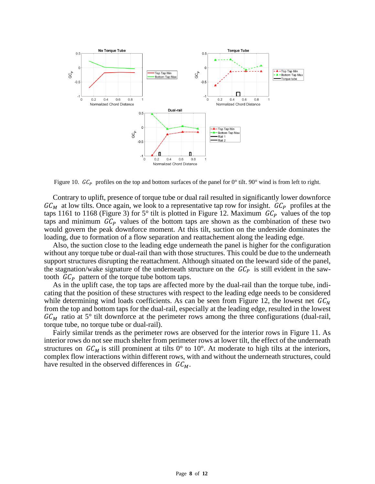

<span id="page-7-0"></span>Figure 10.  $GC_P$  profiles on the top and bottom surfaces of the panel for 0° tilt. 90° wind is from left to right.

Contrary to uplift, presence of torque tube or dual rail resulted in significantly lower downforce  $GC_M$  at low tilts. Once again, we look to a representative tap row for insight.  $GC_P$  profiles at the taps 1161 to 1168 [\(Figure 3\)](#page-2-0) for 5° tilt is plotted in [Figure 12.](#page-8-1) Maximum  $GC<sub>p</sub>$  values of the top taps and minimum  $GC<sub>p</sub>$  values of the bottom taps are shown as the combination of these two would govern the peak downforce moment. At this tilt, suction on the underside dominates the loading, due to formation of a flow separation and reattachement along the leading edge.

Also, the suction close to the leading edge underneath the panel is higher for the configuration without any torque tube or dual-rail than with those structures. This could be due to the underneath support structures disrupting the reattachment. Although situated on the leeward side of the panel, the stagnation/wake signature of the underneath structure on the  $GC<sub>P</sub>$  is still evident in the sawtooth  $\mathfrak{GC}_P$  pattern of the torque tube bottom taps.

As in the uplift case, the top taps are affected more by the dual-rail than the torque tube, indicating that the position of these structures with respect to the leading edge needs to be considered while determining wind loads coefficients. As can be seen from [Figure 12,](#page-8-1) the lowest net  $GC_N$ from the top and bottom taps for the dual-rail, especially at the leading edge, resulted in the lowest  $GC_M$  ratio at 5° tilt downforce at the perimeter rows among the three configurations (dual-rail, torque tube, no torque tube or dual-rail).

Fairly similar trends as the perimeter rows are observed for the interior rows in [Figure 11.](#page-8-0) As interior rows do not see much shelter from perimeter rows at lower tilt, the effect of the underneath structures on  $GC_M$  is still prominent at tilts 0° to 10°. At moderate to high tilts at the interiors, complex flow interactions within different rows, with and without the underneath structures, could have resulted in the observed differences in  $GC_M$ .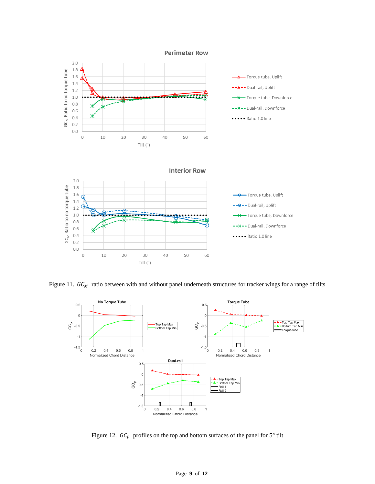

<span id="page-8-0"></span>Figure 11.  $GC_M$  ratio between with and without panel underneath structures for tracker wings for a range of tilts



<span id="page-8-1"></span>Figure 12.  $GC_P$  profiles on the top and bottom surfaces of the panel for  $5^\circ$  tilt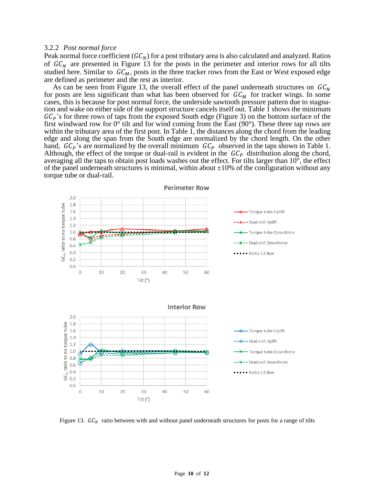#### 3.2.2 *Post normal force*

Peak normal force coefficient ( $GC_N$ ) for a post tributary area is also calculated and analyzed. Ratios of  $GC_N$  are presented in [Figure 13](#page-9-0) for the posts in the perimeter and interior rows for all tilts studied here. Similar to  $GC_M$ , posts in the three tracker rows from the East or West exposed edge are defined as perimeter and the rest as interior.

As can be seen from [Figure 13,](#page-9-0) the overall effect of the panel underneath structures on  $GC_N$ for posts are less significant than what has been observed for  $GC_M$  for tracker wings. In some cases, this is because for post normal force, the underside sawtooth pressure pattern due to stagnation and wake on either side of the support structure cancels itself out. [Table 1](#page-10-0) shows the minimum  $GC<sub>P</sub>$ 's for three rows of taps from the exposed South edge [\(Figure 3\)](#page-2-0) on the bottom surface of the first windward row for  $0^{\circ}$  tilt and for wind coming from the East (90 $^{\circ}$ ). These three tap rows are within the tributary area of the first post. In [Table 1,](#page-10-0) the distances along the chord from the leading edge and along the span from the South edge are normalized by the chord length. On the other hand,  $GC_P$ 's are normalized by the overall minimum  $GC_P$  observed in the taps shown in [Table 1.](#page-10-0) Although, the effect of the torque or dual-rail is evident in the  $\mathbb{G}C_p$  distribution along the chord, averaging all the taps to obtain post loads washes out the effect. For tilts larger than 10°, the effect of the panel underneath structures is minimal, within about  $\pm 10\%$  of the configuration without any torque tube or dual-rail.



<span id="page-9-0"></span>Figure 13.  $GC<sub>N</sub>$  ratio between with and without panel underneath structures for posts for a range of tilts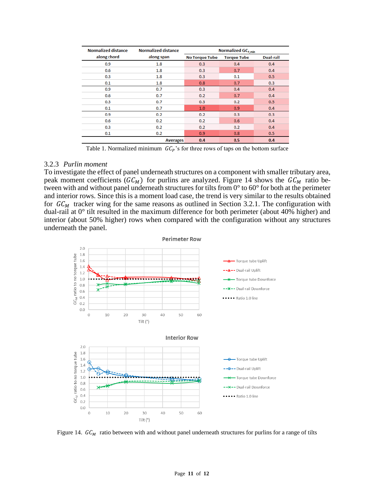| <b>Normalized distance</b> | <b>Normalized distance</b> | Normalized GC <sub>P,min</sub> |                    |           |
|----------------------------|----------------------------|--------------------------------|--------------------|-----------|
| along chord                | along span                 | <b>No Torque Tube</b>          | <b>Torque Tube</b> | Dual-rail |
| 0.9                        | 1.8                        | 0.3                            | 0.4                | 0.4       |
| 0.6                        | 1.8                        | 0.3                            | 0.7                | 0.4       |
| 0.3                        | 1.8                        | 0.3                            | 0.1                | 0.5       |
| 0.1                        | 1.8                        | 0.8                            | 0.7                | 0.3       |
| 0.9                        | 0.7                        | 0.3                            | 0.4                | 0.4       |
| 0.6                        | 0.7                        | 0.2                            | 0.7                | 0.4       |
| 0.3                        | 0.7                        | 0.3                            | 0.2                | 0.5       |
| 0.1                        | 0.7                        | 1.0                            | 0.9                | 0.4       |
| 0.9                        | 0.2                        | 0.2                            | 0.3                | 0.3       |
| 0.6                        | 0.2                        | 0.2                            | 0.6                | 0.4       |
| 0.3                        | 0.2                        | 0.2                            | 0.2                | 0.4       |
| 0.1                        | 0.2                        | 0.9                            | 0.8                | 0.5       |
|                            | <b>Averages</b>            | 0.4                            | 0.5                | 0.4       |

Table 1. Normalized minimum  $GC_P$ 's for three rows of taps on the bottom surface

#### <span id="page-10-0"></span>3.2.3 *Purlin moment*

To investigate the effect of panel underneath structures on a component with smaller tributary area, peak moment coefficients ( $GC_M$ ) for purlins are analyzed. [Figure 14](#page-10-1) shows the  $GC_M$  ratio between with and without panel underneath structures for tilts from 0° to 60° for both at the perimeter and interior rows. Since this is a moment load case, the trend is very similar to the results obtained for  $GC_M$  tracker wing for the same reasons as outlined in Section [3.2.1.](#page-5-1) The configuration with dual-rail at 0° tilt resulted in the maximum difference for both perimeter (about 40% higher) and interior (about 50% higher) rows when compared with the configuration without any structures underneath the panel.



<span id="page-10-1"></span>Figure 14.  $GC_M$  ratio between with and without panel underneath structures for purlins for a range of tilts